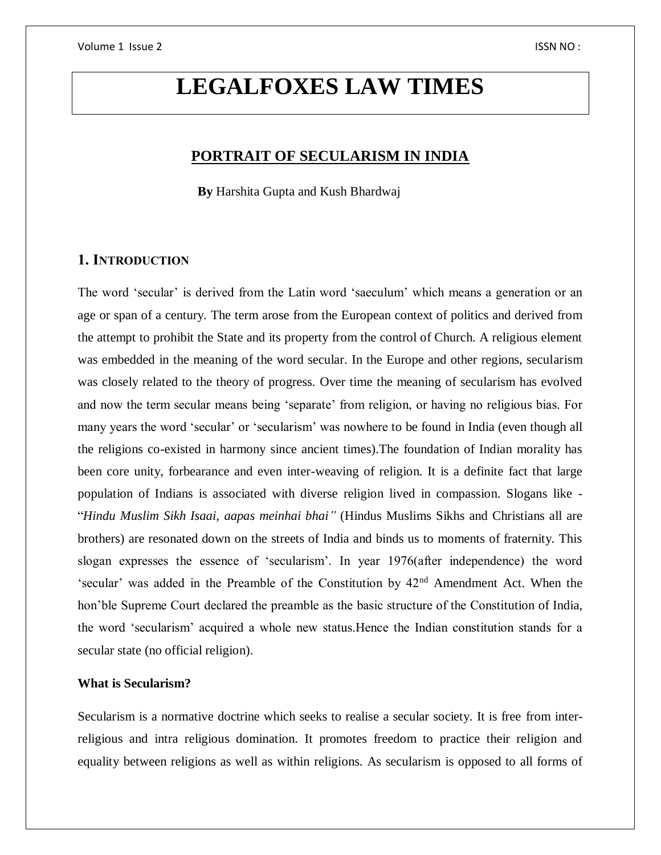# **LEGALFOXES LAW TIMES**

# **PORTRAIT OF SECULARISM IN INDIA**

 **By** Harshita Gupta and Kush Bhardwaj

## **1. INTRODUCTION**

The word 'secular' is derived from the Latin word 'saeculum' which means a generation or an age or span of a century. The term arose from the European context of politics and derived from the attempt to prohibit the State and its property from the control of Church. A religious element was embedded in the meaning of the word secular. In the Europe and other regions, secularism was closely related to the theory of progress. Over time the meaning of secularism has evolved and now the term secular means being 'separate' from religion, or having no religious bias. For many years the word 'secular' or 'secularism' was nowhere to be found in India (even though all the religions co-existed in harmony since ancient times).The foundation of Indian morality has been core unity, forbearance and even inter-weaving of religion. It is a definite fact that large population of Indians is associated with diverse religion lived in compassion. Slogans like - "*Hindu Muslim Sikh Isaai, aapas meinhai bhai"* (Hindus Muslims Sikhs and Christians all are brothers) are resonated down on the streets of India and binds us to moments of fraternity. This slogan expresses the essence of 'secularism'. In year 1976(after independence) the word 'secular' was added in the Preamble of the Constitution by 42nd Amendment Act. When the hon'ble Supreme Court declared the preamble as the basic structure of the Constitution of India, the word 'secularism' acquired a whole new status.Hence the Indian constitution stands for a secular state (no official religion).

## **What is Secularism?**

Secularism is a normative doctrine which seeks to realise a secular society. It is free from interreligious and intra religious domination. It promotes freedom to practice their religion and equality between religions as well as within religions. As secularism is opposed to all forms of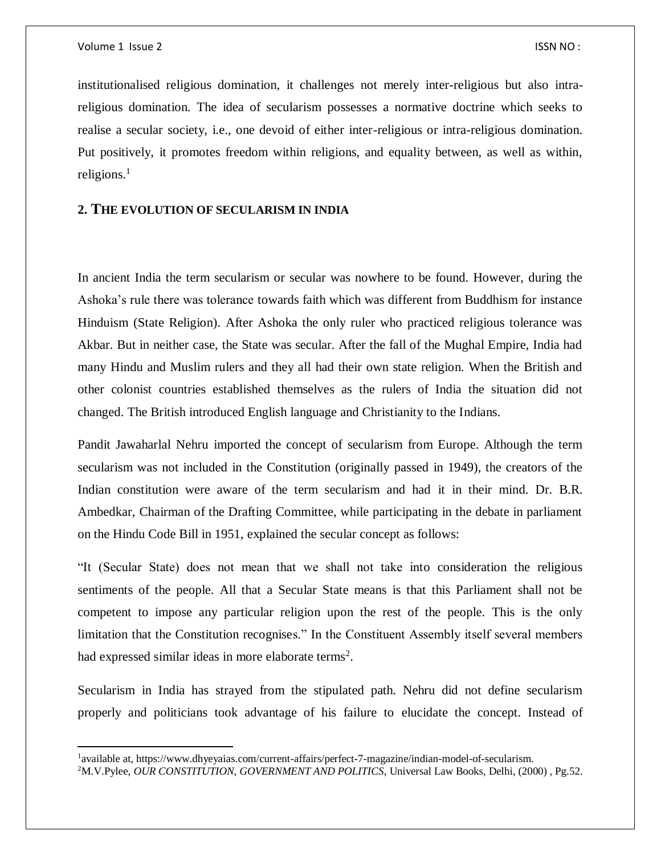$\overline{\phantom{a}}$ 

institutionalised religious domination, it challenges not merely inter-religious but also intrareligious domination. The idea of secularism possesses a normative doctrine which seeks to realise a secular society, i.e., one devoid of either inter-religious or intra-religious domination. Put positively, it promotes freedom within religions, and equality between, as well as within, religions. $<sup>1</sup>$ </sup>

## **2. THE EVOLUTION OF SECULARISM IN INDIA**

In ancient India the term secularism or secular was nowhere to be found. However, during the Ashoka's rule there was tolerance towards faith which was different from Buddhism for instance Hinduism (State Religion). After Ashoka the only ruler who practiced religious tolerance was Akbar. But in neither case, the State was secular. After the fall of the Mughal Empire, India had many Hindu and Muslim rulers and they all had their own state religion. When the British and other colonist countries established themselves as the rulers of India the situation did not changed. The British introduced English language and Christianity to the Indians.

Pandit Jawaharlal Nehru imported the concept of secularism from Europe. Although the term secularism was not included in the Constitution (originally passed in 1949), the creators of the Indian constitution were aware of the term secularism and had it in their mind. Dr. B.R. Ambedkar, Chairman of the Drafting Committee, while participating in the debate in parliament on the Hindu Code Bill in 1951, explained the secular concept as follows:

"It (Secular State) does not mean that we shall not take into consideration the religious sentiments of the people. All that a Secular State means is that this Parliament shall not be competent to impose any particular religion upon the rest of the people. This is the only limitation that the Constitution recognises." In the Constituent Assembly itself several members had expressed similar ideas in more elaborate terms<sup>2</sup>.

Secularism in India has strayed from the stipulated path. Nehru did not define secularism properly and politicians took advantage of his failure to elucidate the concept. Instead of

<sup>&</sup>lt;sup>1</sup>available at, https://www.dhyeyaias.com/current-affairs/perfect-7-magazine/indian-model-of-secularism.

<sup>2</sup>M.V.Pylee, *OUR CONSTITUTION, GOVERNMENT AND POLITICS*, Universal Law Books, Delhi, (2000) , Pg.52.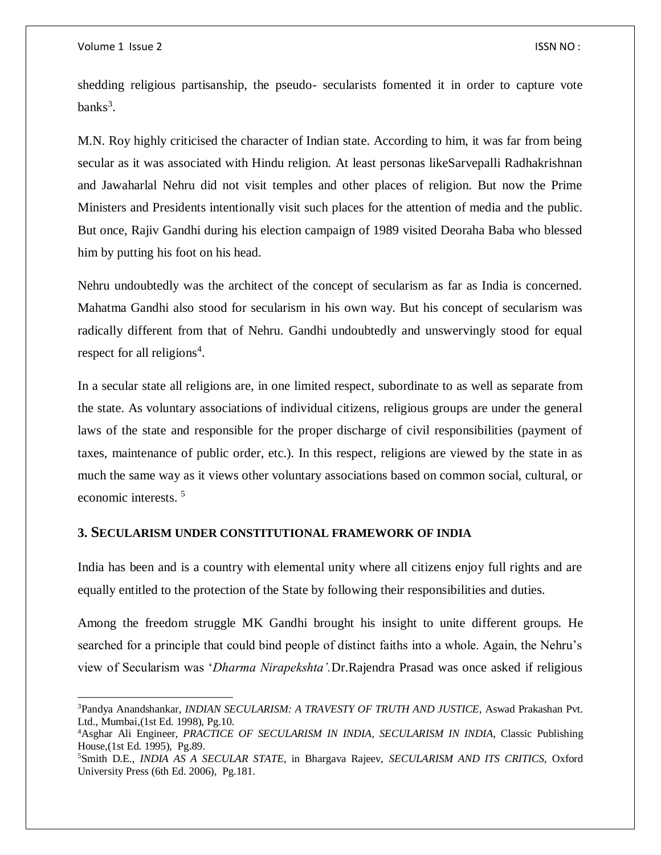$\overline{a}$ 

shedding religious partisanship, the pseudo- secularists fomented it in order to capture vote  $banks<sup>3</sup>$ .

M.N. Roy highly criticised the character of Indian state. According to him, it was far from being secular as it was associated with Hindu religion. At least personas likeSarvepalli Radhakrishnan and Jawaharlal Nehru did not visit temples and other places of religion. But now the Prime Ministers and Presidents intentionally visit such places for the attention of media and the public. But once, Rajiv Gandhi during his election campaign of 1989 visited Deoraha Baba who blessed him by putting his foot on his head.

Nehru undoubtedly was the architect of the concept of secularism as far as India is concerned. Mahatma Gandhi also stood for secularism in his own way. But his concept of secularism was radically different from that of Nehru. Gandhi undoubtedly and unswervingly stood for equal respect for all religions<sup>4</sup>.

In a secular state all religions are, in one limited respect, subordinate to as well as separate from the state. As voluntary associations of individual citizens, religious groups are under the general laws of the state and responsible for the proper discharge of civil responsibilities (payment of taxes, maintenance of public order, etc.). In this respect, religions are viewed by the state in as much the same way as it views other voluntary associations based on common social, cultural, or economic interests. <sup>5</sup>

#### **3. SECULARISM UNDER CONSTITUTIONAL FRAMEWORK OF INDIA**

India has been and is a country with elemental unity where all citizens enjoy full rights and are equally entitled to the protection of the State by following their responsibilities and duties.

Among the freedom struggle MK Gandhi brought his insight to unite different groups. He searched for a principle that could bind people of distinct faiths into a whole. Again, the Nehru's view of Secularism was '*Dharma Nirapekshta'.*Dr.Rajendra Prasad was once asked if religious

<sup>3</sup>Pandya Anandshankar, *INDIAN SECULARISM: A TRAVESTY OF TRUTH AND JUSTICE*, Aswad Prakashan Pvt. Ltd., Mumbai,(1st Ed. 1998), Pg.10.

<sup>4</sup>Asghar Ali Engineer, *PRACTICE OF SECULARISM IN INDIA, SECULARISM IN INDIA*, Classic Publishing House,(1st Ed. 1995), Pg.89.

<sup>5</sup>Smith D.E., *INDIA AS A SECULAR STATE*, in Bhargava Rajeev, *SECULARISM AND ITS CRITICS*, Oxford University Press (6th Ed. 2006), Pg.181.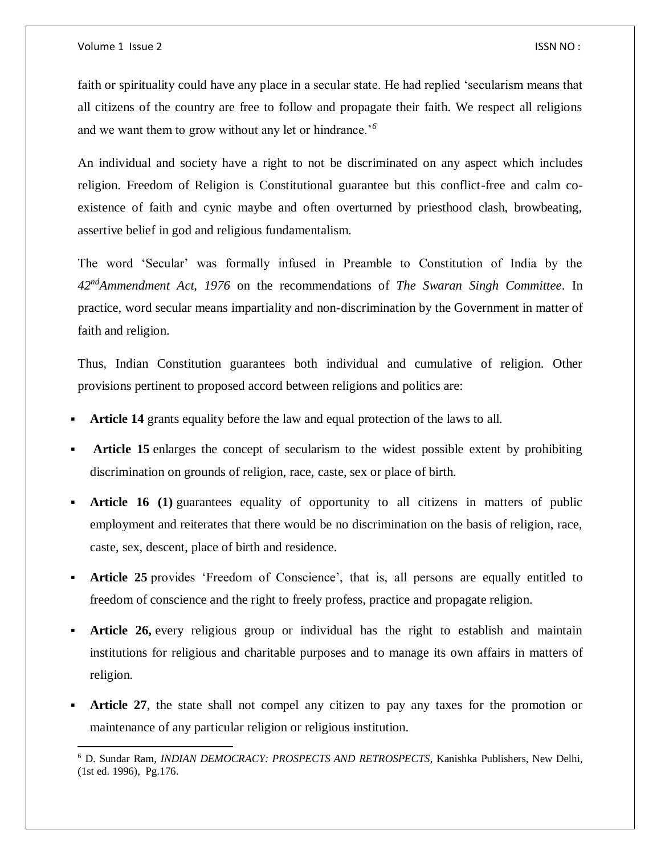$\overline{\phantom{a}}$ 

faith or spirituality could have any place in a secular state. He had replied 'secularism means that all citizens of the country are free to follow and propagate their faith. We respect all religions and we want them to grow without any let or hindrance.'*<sup>6</sup>*

An individual and society have a right to not be discriminated on any aspect which includes religion. Freedom of Religion is Constitutional guarantee but this conflict-free and calm coexistence of faith and cynic maybe and often overturned by priesthood clash, browbeating, assertive belief in god and religious fundamentalism.

The word 'Secular' was formally infused in Preamble to Constitution of India by the *42ndAmmendment Act, 1976* on the recommendations of *The Swaran Singh Committee*. In practice, word secular means impartiality and non-discrimination by the Government in matter of faith and religion.

Thus, Indian Constitution guarantees both individual and cumulative of religion. Other provisions pertinent to proposed accord between religions and politics are:

- **Article 14** grants equality before the law and equal protection of the laws to all.
- **Article 15** enlarges the concept of secularism to the widest possible extent by prohibiting discrimination on grounds of religion, race, caste, sex or place of birth.
- Article 16 (1) guarantees equality of opportunity to all citizens in matters of public employment and reiterates that there would be no discrimination on the basis of religion, race, caste, sex, descent, place of birth and residence.
- **Article 25** provides 'Freedom of Conscience', that is, all persons are equally entitled to freedom of conscience and the right to freely profess, practice and propagate religion.
- **Article 26,** every religious group or individual has the right to establish and maintain institutions for religious and charitable purposes and to manage its own affairs in matters of religion.
- **Article 27**, the state shall not compel any citizen to pay any taxes for the promotion or maintenance of any particular religion or religious institution.

<sup>6</sup> D. Sundar Ram, *INDIAN DEMOCRACY: PROSPECTS AND RETROSPECTS*, Kanishka Publishers, New Delhi, (1st ed. 1996), Pg.176.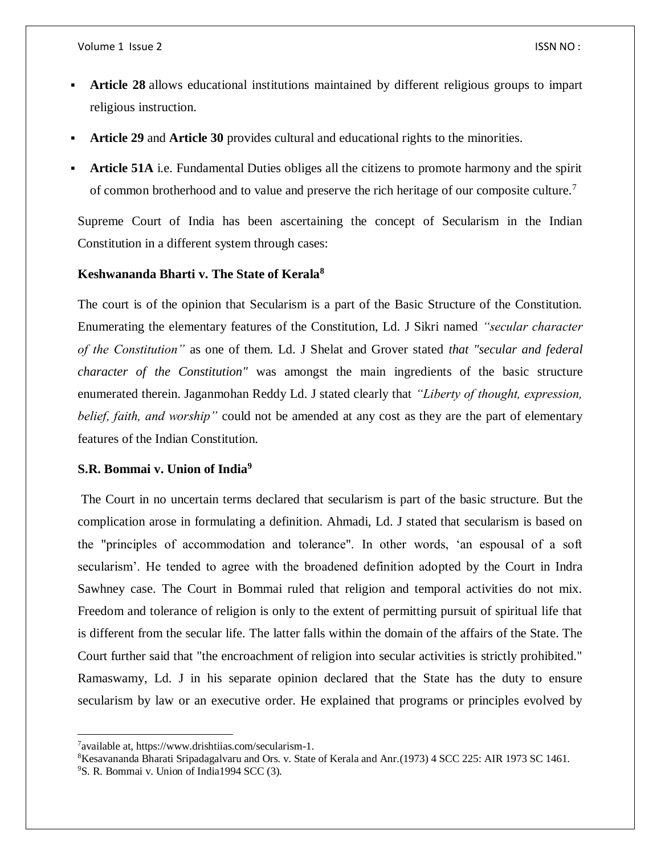- **Article 28** allows educational institutions maintained by different religious groups to impart religious instruction.
- **Article 29** and **Article 30** provides cultural and educational rights to the minorities.
- **Article 51A** i.e. Fundamental Duties obliges all the citizens to promote harmony and the spirit of common brotherhood and to value and preserve the rich heritage of our composite culture.<sup>7</sup>

Supreme Court of India has been ascertaining the concept of Secularism in the Indian Constitution in a different system through cases:

# **Keshwananda Bharti v. The State of Kerala<sup>8</sup>**

The court is of the opinion that Secularism is a part of the Basic Structure of the Constitution. Enumerating the elementary features of the Constitution, Ld. J Sikri named *"secular character of the Constitution"* as one of them. Ld. J Shelat and Grover stated *that "secular and federal character of the Constitution"* was amongst the main ingredients of the basic structure enumerated therein. Jaganmohan Reddy Ld. J stated clearly that *"Liberty of thought, expression, belief, faith, and worship"* could not be amended at any cost as they are the part of elementary features of the Indian Constitution.

#### **S.R. Bommai v. Union of India<sup>9</sup>**

The Court in no uncertain terms declared that secularism is part of the basic structure. But the complication arose in formulating a definition. Ahmadi, Ld. J stated that secularism is based on the "principles of accommodation and tolerance". In other words, 'an espousal of a soft secularism'. He tended to agree with the broadened definition adopted by the Court in Indra Sawhney case. The Court in Bommai ruled that religion and temporal activities do not mix. Freedom and tolerance of religion is only to the extent of permitting pursuit of spiritual life that is different from the secular life. The latter falls within the domain of the affairs of the State. The Court further said that "the encroachment of religion into secular activities is strictly prohibited." Ramaswamy, Ld. J in his separate opinion declared that the State has the duty to ensure secularism by law or an executive order. He explained that programs or principles evolved by

<sup>&</sup>lt;sup>7</sup> available at, https://www.drishtiias.com/secularism-1.

<sup>8</sup>Kesavananda Bharati Sripadagalvaru and Ors. v. State of Kerala and Anr*.*(1973) 4 SCC 225: AIR 1973 SC 1461.

<sup>9</sup>S. R. Bommai v. Union of India1994 SCC (3).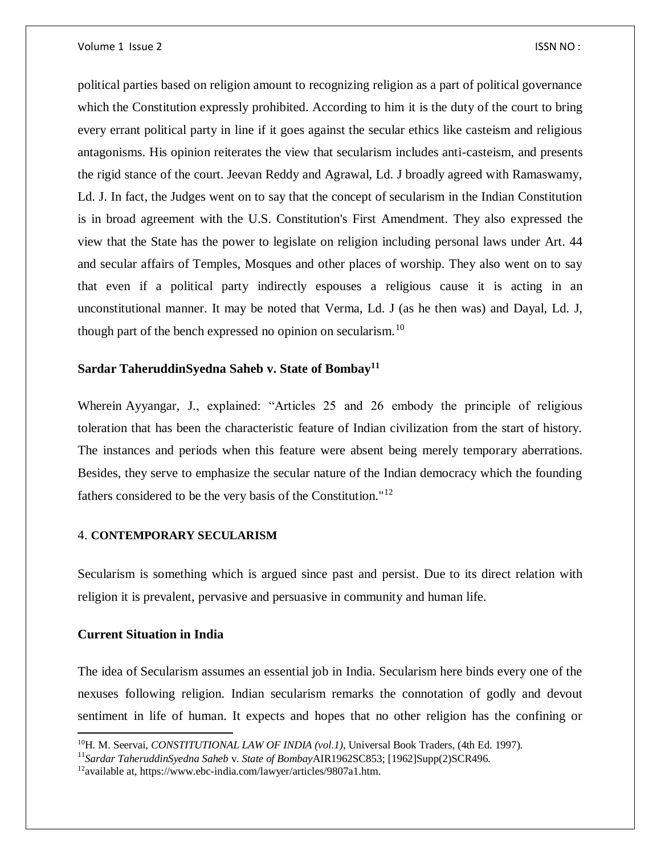political parties based on religion amount to recognizing religion as a part of political governance which the Constitution expressly prohibited. According to him it is the duty of the court to bring every errant political party in line if it goes against the secular ethics like casteism and religious antagonisms. His opinion reiterates the view that secularism includes anti-casteism, and presents the rigid stance of the court. Jeevan Reddy and Agrawal, Ld. J broadly agreed with Ramaswamy, Ld. J. In fact, the Judges went on to say that the concept of secularism in the Indian Constitution is in broad agreement with the U.S. Constitution's First Amendment. They also expressed the view that the State has the power to legislate on religion including personal laws under Art. 44 and secular affairs of Temples, Mosques and other places of worship. They also went on to say that even if a political party indirectly espouses a religious cause it is acting in an unconstitutional manner. It may be noted that Verma, Ld. J (as he then was) and Dayal, Ld. J, though part of the bench expressed no opinion on secularism.<sup>10</sup>

#### **Sardar TaheruddinSyedna Saheb v. State of Bombay<sup>11</sup>**

Wherein Ayyangar, J., explained: "Articles 25 and 26 embody the principle of religious toleration that has been the characteristic feature of Indian civilization from the start of history. The instances and periods when this feature were absent being merely temporary aberrations. Besides, they serve to emphasize the secular nature of the Indian democracy which the founding fathers considered to be the very basis of the Constitution."<sup>12</sup>

#### 4. **CONTEMPORARY SECULARISM**

Secularism is something which is argued since past and persist. Due to its direct relation with religion it is prevalent, pervasive and persuasive in community and human life.

#### **Current Situation in India**

 $\overline{\phantom{a}}$ 

The idea of Secularism assumes an essential job in India. Secularism here binds every one of the nexuses following religion. Indian secularism remarks the connotation of godly and devout sentiment in life of human. It expects and hopes that no other religion has the confining or

<sup>10</sup>H. M. Seervai, *CONSTITUTIONAL LAW OF INDIA (vol.1)*, Universal Book Traders, (4th Ed. 1997).

<sup>11</sup>*Sardar TaheruddinSyedna Saheb* v. *State of Bombay*AIR1962SC853; [1962]Supp(2)SCR496.

<sup>12</sup>available at, https://www.ebc-india.com/lawyer/articles/9807a1.htm.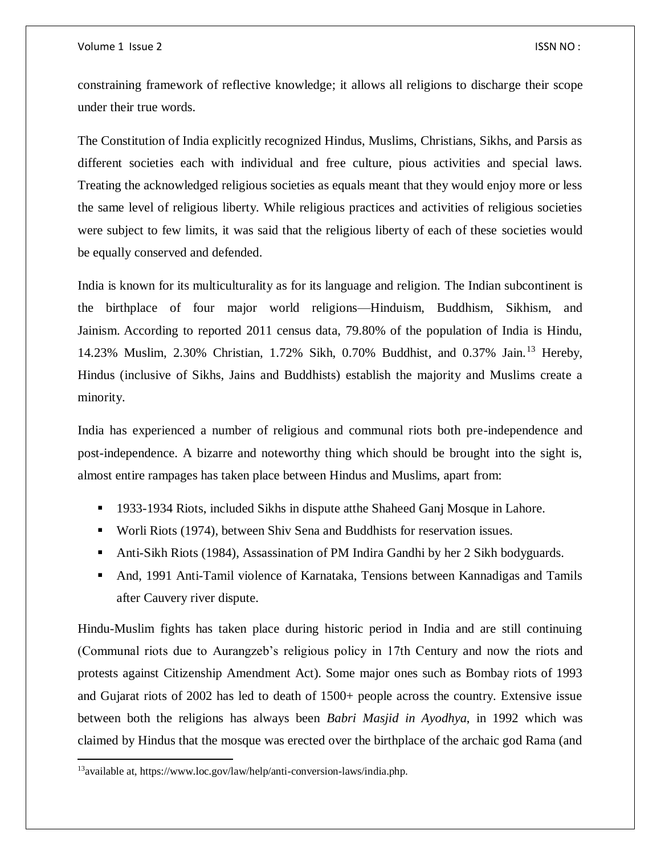Volume 1 Issue 2 ISSN NO :

constraining framework of reflective knowledge; it allows all religions to discharge their scope under their true words.

The Constitution of India explicitly recognized Hindus, Muslims, Christians, Sikhs, and Parsis as different societies each with individual and free culture, pious activities and special laws. Treating the acknowledged religious societies as equals meant that they would enjoy more or less the same level of religious liberty. While religious practices and activities of religious societies were subject to few limits, it was said that the religious liberty of each of these societies would be equally conserved and defended.

India is known for its multiculturality as for its language and religion. The Indian subcontinent is the birthplace of four major world religions—Hinduism, Buddhism, Sikhism, and Jainism. According to reported 2011 census data, 79.80% of the population of India is Hindu, 14.23% Muslim, 2.30% Christian, 1.72% Sikh, 0.70% Buddhist, and 0.37% Jain.<sup>13</sup> Hereby, Hindus (inclusive of Sikhs, Jains and Buddhists) establish the majority and Muslims create a minority.

India has experienced a number of religious and communal riots both pre-independence and post-independence. A bizarre and noteworthy thing which should be brought into the sight is, almost entire rampages has taken place between Hindus and Muslims, apart from:

- <sup>1933</sup>-1934 Riots, included Sikhs in dispute atthe Shaheed Ganj Mosque in Lahore.
- Worli Riots (1974), between Shiv Sena and Buddhists for reservation issues.
- Anti-Sikh Riots (1984), Assassination of PM Indira Gandhi by her 2 Sikh bodyguards.
- And, 1991 Anti-Tamil violence of Karnataka, Tensions between Kannadigas and Tamils after Cauvery river dispute.

Hindu-Muslim fights has taken place during historic period in India and are still continuing (Communal riots due to Aurangzeb's religious policy in 17th Century and now the riots and protests against Citizenship Amendment Act). Some major ones such as Bombay riots of 1993 and Gujarat riots of 2002 has led to death of 1500+ people across the country. Extensive issue between both the religions has always been *Babri Masjid in Ayodhya*, in 1992 which was claimed by Hindus that the mosque was erected over the birthplace of the archaic god Rama (and

<sup>13</sup>available at, https://www.loc.gov/law/help/anti-conversion-laws/india.php.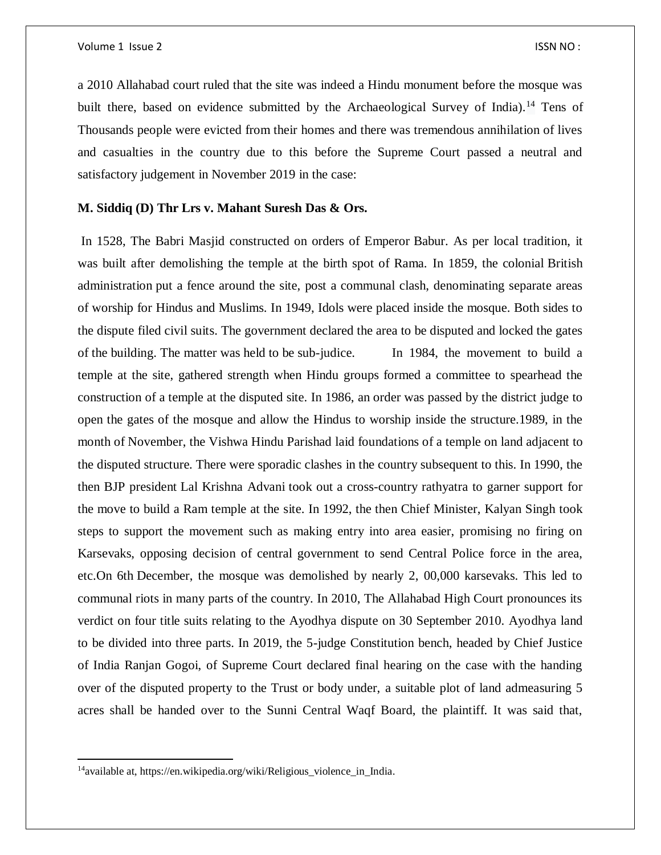a 2010 Allahabad court ruled that the site was indeed a Hindu monument before the mosque was built there, based on evidence submitted by the Archaeological Survey of India).<sup>14</sup> Tens of Thousands people were evicted from their homes and there was tremendous annihilation of lives and casualties in the country due to this before the Supreme Court passed a neutral and satisfactory judgement in November 2019 in the case:

#### **M. Siddiq (D) Thr Lrs v. Mahant Suresh Das & Ors.**

In 1528, The Babri Masjid constructed on orders of Emperor Babur. As per local tradition, it was built after demolishing the temple at the birth spot of Rama. In 1859, the colonial British administration put a fence around the site, post a communal clash, denominating separate areas of worship for Hindus and Muslims. In 1949, Idols were placed inside the mosque. Both sides to the dispute filed civil suits. The government declared the area to be disputed and locked the gates of the building. The matter was held to be sub-judice. In 1984, the movement to build a temple at the site, gathered strength when Hindu groups formed a committee to spearhead the construction of a temple at the disputed site. In 1986, an order was passed by the district judge to open the gates of the mosque and allow the Hindus to worship inside the structure.1989, in the month of November, the Vishwa Hindu Parishad laid foundations of a temple on land adjacent to the disputed structure. There were sporadic clashes in the country subsequent to this. In 1990, the then BJP president Lal Krishna Advani took out a cross-country rathyatra to garner support for the move to build a Ram temple at the site. In 1992, the then Chief Minister, Kalyan Singh took steps to support the movement such as making entry into area easier, promising no firing on Karsevaks, opposing decision of central government to send Central Police force in the area, etc.On 6th December, the mosque was demolished by nearly 2, 00,000 karsevaks. This led to communal riots in many parts of the country. In 2010, The Allahabad High Court pronounces its verdict on four title suits relating to the Ayodhya dispute on 30 September 2010. Ayodhya land to be divided into three parts. In 2019, the 5-judge Constitution bench, headed by Chief Justice of India Ranjan Gogoi, of Supreme Court declared final hearing on the case with the handing over of the disputed property to the Trust or body under, a suitable plot of land admeasuring 5 acres shall be handed over to the Sunni Central Waqf Board, the plaintiff. It was said that,

<sup>&</sup>lt;sup>14</sup>available at, https://en.wikipedia.org/wiki/Religious\_violence\_in\_India.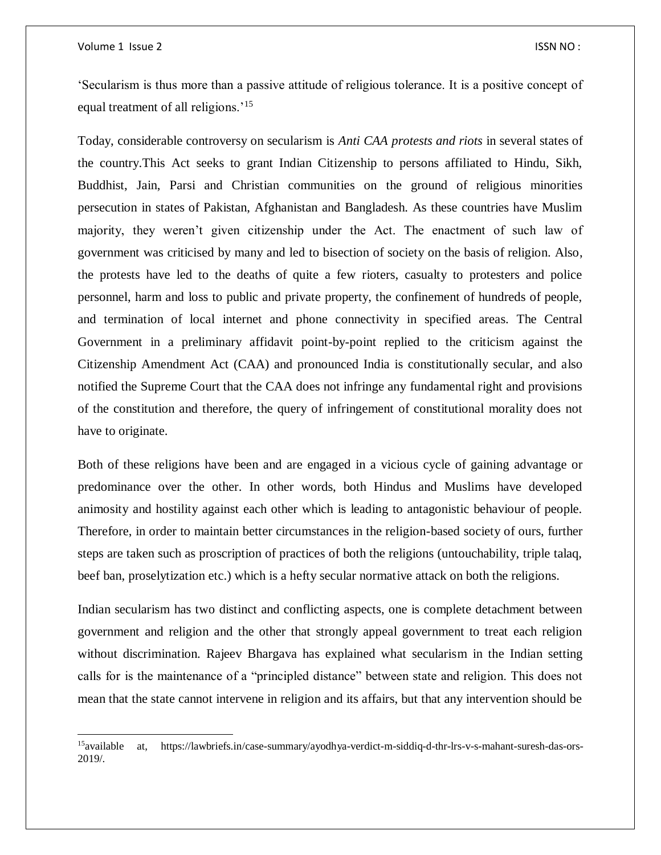$\overline{a}$ 

'Secularism is thus more than a passive attitude of religious tolerance. It is a positive concept of equal treatment of all religions.'<sup>15</sup>

Today, considerable controversy on secularism is *Anti CAA protests and riots* in several states of the country.This Act seeks to grant Indian Citizenship to persons affiliated to Hindu, Sikh, Buddhist, Jain, Parsi and Christian communities on the ground of religious minorities persecution in states of Pakistan, Afghanistan and Bangladesh. As these countries have Muslim majority, they weren't given citizenship under the Act. The enactment of such law of government was criticised by many and led to bisection of society on the basis of religion. Also, the protests have led to the deaths of quite a few rioters, casualty to protesters and police personnel, harm and loss to public and private property, the confinement of hundreds of people, and termination of local internet and phone connectivity in specified areas. The Central Government in a preliminary affidavit point-by-point replied to the criticism against the Citizenship Amendment Act (CAA) and pronounced India is constitutionally secular, and also notified the Supreme Court that the CAA does not infringe any fundamental right and provisions of the constitution and therefore, the query of infringement of constitutional morality does not have to originate.

Both of these religions have been and are engaged in a vicious cycle of gaining advantage or predominance over the other. In other words, both Hindus and Muslims have developed animosity and hostility against each other which is leading to antagonistic behaviour of people. Therefore, in order to maintain better circumstances in the religion-based society of ours, further steps are taken such as proscription of practices of both the religions (untouchability, triple talaq, beef ban, proselytization etc.) which is a hefty secular normative attack on both the religions.

Indian secularism has two distinct and conflicting aspects, one is complete detachment between government and religion and the other that strongly appeal government to treat each religion without discrimination. Rajeev Bhargava has explained what secularism in the Indian setting calls for is the maintenance of a "principled distance" between state and religion. This does not mean that the state cannot intervene in religion and its affairs, but that any intervention should be

<sup>15</sup>available at, https://lawbriefs.in/case-summary/ayodhya-verdict-m-siddiq-d-thr-lrs-v-s-mahant-suresh-das-ors-2019/.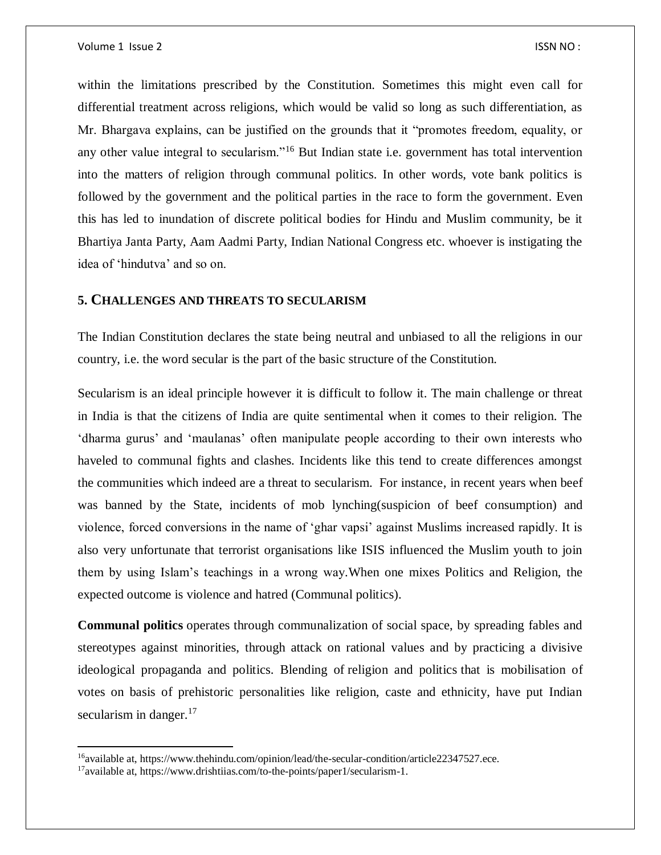within the limitations prescribed by the Constitution. Sometimes this might even call for differential treatment across religions, which would be valid so long as such differentiation, as Mr. Bhargava explains, can be justified on the grounds that it "promotes freedom, equality, or any other value integral to secularism."<sup>16</sup> But Indian state i.e. government has total intervention into the matters of religion through communal politics. In other words, vote bank politics is followed by the government and the political parties in the race to form the government. Even this has led to inundation of discrete political bodies for Hindu and Muslim community, be it Bhartiya Janta Party, Aam Aadmi Party, Indian National Congress etc. whoever is instigating the idea of 'hindutva' and so on.

### **5. CHALLENGES AND THREATS TO SECULARISM**

The Indian Constitution declares the state being neutral and unbiased to all the religions in our country, i.e. the word secular is the part of the basic structure of the Constitution.

Secularism is an ideal principle however it is difficult to follow it. The main challenge or threat in India is that the citizens of India are quite sentimental when it comes to their religion. The 'dharma gurus' and 'maulanas' often manipulate people according to their own interests who haveled to communal fights and clashes. Incidents like this tend to create differences amongst the communities which indeed are a threat to secularism. For instance, in recent years when beef was banned by the State, incidents of mob lynching(suspicion of beef consumption) and violence, forced conversions in the name of 'ghar vapsi' against Muslims increased rapidly. It is also very unfortunate that terrorist organisations like ISIS influenced the Muslim youth to join them by using Islam's teachings in a wrong way.When one mixes Politics and Religion, the expected outcome is violence and hatred (Communal politics).

**Communal politics** operates through communalization of social space, by spreading fables and stereotypes against minorities, through attack on rational values and by practicing a divisive ideological propaganda and politics. Blending of religion and politics that is mobilisation of votes on basis of prehistoric personalities like religion, caste and ethnicity, have put Indian secularism in danger. $17$ 

 $\overline{\phantom{a}}$ 

<sup>&</sup>lt;sup>16</sup>available at, https://www.thehindu.com/opinion/lead/the-secular-condition/article22347527.ece.

<sup>17</sup>available at, https://www.drishtiias.com/to-the-points/paper1/secularism-1.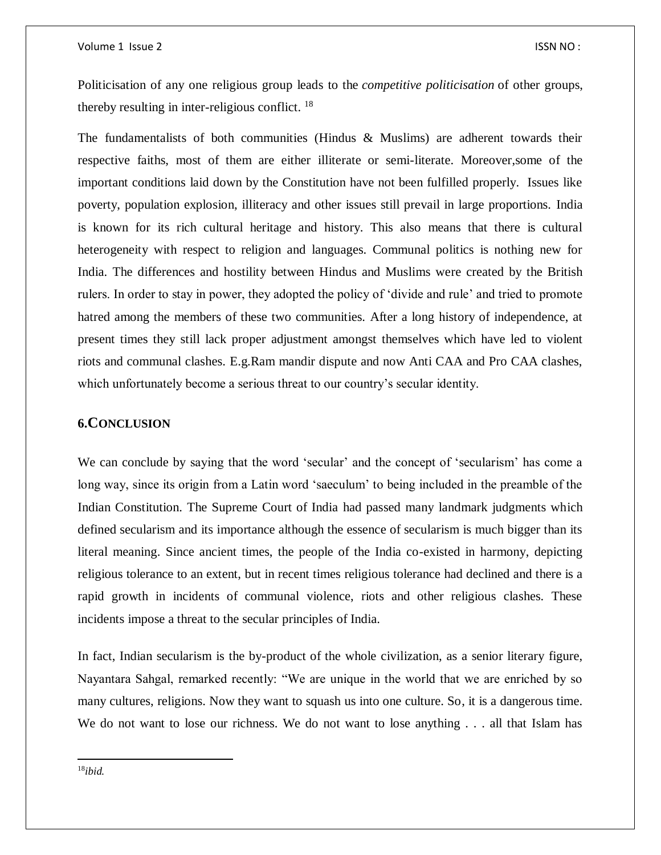Politicisation of any one religious group leads to the *competitive politicisation* of other groups, thereby resulting in inter-religious conflict. <sup>18</sup>

The fundamentalists of both communities (Hindus & Muslims) are adherent towards their respective faiths, most of them are either illiterate or semi-literate. Moreover,some of the important conditions laid down by the Constitution have not been fulfilled properly. Issues like poverty, population explosion, illiteracy and other issues still prevail in large proportions. India is known for its rich cultural heritage and history. This also means that there is cultural heterogeneity with respect to religion and languages. Communal politics is nothing new for India. The differences and hostility between Hindus and Muslims were created by the British rulers. In order to stay in power, they adopted the policy of 'divide and rule' and tried to promote hatred among the members of these two communities. After a long history of independence, at present times they still lack proper adjustment amongst themselves which have led to violent riots and communal clashes. E.g.Ram mandir dispute and now Anti CAA and Pro CAA clashes, which unfortunately become a serious threat to our country's secular identity.

## **6.CONCLUSION**

We can conclude by saying that the word 'secular' and the concept of 'secularism' has come a long way, since its origin from a Latin word 'saeculum' to being included in the preamble of the Indian Constitution. The Supreme Court of India had passed many landmark judgments which defined secularism and its importance although the essence of secularism is much bigger than its literal meaning. Since ancient times, the people of the India co-existed in harmony, depicting religious tolerance to an extent, but in recent times religious tolerance had declined and there is a rapid growth in incidents of communal violence, riots and other religious clashes. These incidents impose a threat to the secular principles of India.

In fact, Indian secularism is the by-product of the whole civilization, as a senior literary figure, Nayantara Sahgal, remarked recently: "We are unique in the world that we are enriched by so many cultures, religions. Now they want to squash us into one culture. So, it is a dangerous time. We do not want to lose our richness. We do not want to lose anything . . . all that Islam has

18*ibid.*